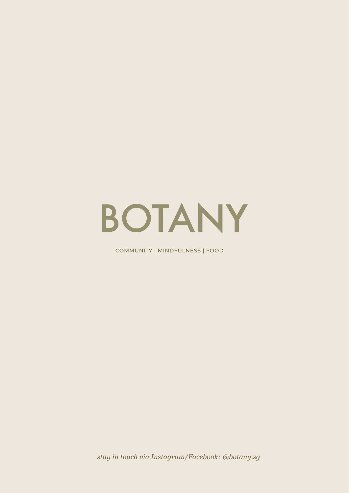# BOTANY

COMMUNITY | MINDFULNESS | FOOD

*stay in touch via Instagram/Facebook: @botany.sg*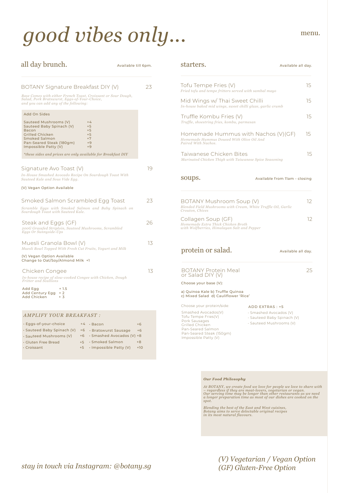# *good vibes only...*

BOTANY Signature Breakfast DIY (V) Signature Avo Toast (V) *In-House Smashed Avocado Recipe On Sourdough Toast With Sauteed Kale and Sous Vide Egg.*  (V) Vegan Option Available all day brunch. 19 23 Available till 6pm. Smoked Salmon Scrambled Egg Toast *Scramble Eggs with Smoked Salmon and Baby Spinach on Sourdough Toast with Sauteed Kale.*  23 Steak and Eggs (GF) *200G Grassfed Striploin, Sauteed Mushrooms, Scrambled Eggs Or Sunnyside-Ups* 26 Chicken Congee *In-house recipe of slow-cooked Congee with Chicken, Dough Fritter and Scallions* Add Egg  $+ 1.5$ Add Century Egg + 2<br>Add Century Egg + 2<br>Add Chicken + 3 Add Chicken 13 Add On Sides Sauteed Mushrooms (V)  $+4$ <br>Sauteed Baby Spinach (V)  $+5$ Sauteed Baby Spinach (V) +5<br>Bacon +5 Bacon +5<br>Grilled Chicken +5<br>Smoked Salmon +7 Grilled Chicken Smoked Salmon +7<br>Pan-Seared Steak (180gm) +9 Pan-Seared Steak (180gm) Impossible Patty (V)  $+9$ *\*these sides and prices are only available for Breakfast DIY* Muesli Granola Bowl (V) *Muesli Bowl Topped With Fresh Cut Fruits, Yogurt and Milk* (V) Vegan Option Available Change to Oat/Soy/Almond Milk +1 13 *Base Comes with either French Toast, Croissant or Sour Dough, Salad, Pork Bratswurst, Eggs-of-Your-Choice, and you can add any of the following:*

#### *AMPLIFY YOUR BREAKFAST :*

| · Eggs-of-your-choice                              | $+4$ . Bacon                 | $+6$  |
|----------------------------------------------------|------------------------------|-------|
| · Sauteed Baby Spinach (V) +6 · Bratswurst Sausage |                              | $+6$  |
| · Sauteed Mushrooms (V)                            | +6 · Smashed Avocados (V) +8 |       |
| . Gluten Free Bread                                | $+5$ · Smoked Salmon         | $+8$  |
| · Croissant                                        | $+5$ · Impossible Patty (V)  | $+10$ |

### protein or salad. Available all day. Mid Wings w/ Thai Sweet Chilli *In-house baked mid wings, sweet chilli glaze, garlic crumb* Truffle Kombu Fries (V) *Truffle, shoestring fries, kombu, parmesan* starters. Available all day. Homemade Hummus with Nachos (V)(GF) *Homemade Hummus Doused With Olive Oil And Paired With Nachos. Fried tofu and tempe fritters served with sambal mayo* Tofu Tempe Fries (V) 15 Taiwanese Chicken Bites *Marinated Chicken Thigh with Taiwanese Spice Seasoning* BOTANY Protein Meal or Salad DIY (V) Choose your base (V): a) Quinoa Kale b) Truffle Quinoa BOTANY Mushroom Soup (V) *Blended Field Mushrooms with Cream, White Truffle Oil, Garlic Crouton, Chives* SOUDS. Available from 11am - closing Collagen Soup (GF) *Homemade Extra Thick Chicken Broth with Wolfberries, Himalayan Salt and Pepper*

c) Mixed Salad d) Cauliflower 'Rice'

Choose your protein/side: Smashed Avocados(V) Tofu Tempe Fries(V) Pork Sausages Grilled Chicken Pan-Seared Salmon Pan-Seared Steak (150gm) Impossible Patty (V)

#### ADD EXTRAS : +5

- Smashed Avocados (V)
- Sauteed Baby Spinach (V)
- Sauteed Mushrooms (V)

#### *Our Food Philosophy*

At BOTANY, we create food we love for people we love to share with<br>– regardless if they are meat-lovers, vegetarian or vegan.<br>Our serving time may be longer than other restaurants as we need<br>a longer preparation time as mo

*Blending the best of the East and West cuisines, Botany aims to serve delectable original recipes in its most natural flavours.*

*(V) Vegetarian / Vegan Option*

### *stay in touch via Instagram: @botany.sg (GF) Gluten-Free Option*

menu.

15

15

15

15

 $12$ 

12

25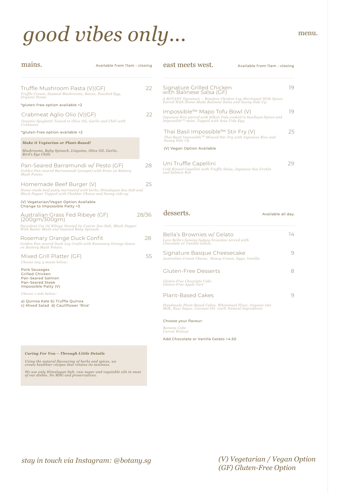# good vibes only... menu.

desserts. Available all day. Uni Truffle Capellini *Cold Rinsed Capellini with Truffle Salsa, Japanese Sea Urchin and Salmon Roe* 29 Signature Grilled Chicken with Balinese Salsa (GF) *A BOTANY Signature – Boneless Chicken Leg Marinated With Spices Paired With Home-Made Balinese Salsa and Sunny Side Up.* 19 Impossible™ Mapo Tofu Bowl (V) *Japanese Rice paired with Silken Tofu cooked in Szechuan Spices and Impossible™ meat, Topped with Sous Vide Egg.*  19 east meets west. Available from 11am - closing Thai Basil Impossible™ Stir Fry (V) *Thai Basil ImpossibleTM Minced Stir Fry with Japanese Rice and Sunny Side Up* (V) Vegan Option Available 25 Truffle Mushroom Pasta (V)(GF) *Truffle Cream, Sauteed Mushrooms, Bacon, Poached Egg, Organic Penne* \*gluten-free option available +2  $22$ mains. Maximum Available from 11am - closing Homemade Beef Burger (V) *Home-made beef patty marinated with herbs, Himalayan Sea-Salt and Black Pepper Topped with Cheddar Cheese and Sunny-side up* (V) Vegetarian/Vegan Option Available Change to Impossible Patty +3 25 Pan-Seared Barramundi w/ Pesto (GF) *Golden Pan-seared Barramundi (200gm) with Pesto on Buttery Mash Potato*  $28$ Crabmeat Aglio Olio (V)(GF) *Organic Spaghetti Tossed in Olive Oil, Garlic and Chili with Crabmeat* \*gluten-free option available +2 22 *Make it Vegtarian or Plant-Based! Mushrooms, Baby Spinach, Linguine, Olive Oil, Garlic, Bird's Eye Chilli* Australian Grass Fed Ribeye (GF) (200gm/300gm) *Succulent Cut Of Ribeye Doused In Coarse Sea-Salt, Black Pepper With Butter Mash and Sauteed Baby Spinach.*  28/36 Rosemary Orange Duck Confit *Golden Pan-seared Duck Leg Confit with Rosemary Orange Sauce on Buttery Mash Potato.* 28 Mixed Grill Platter (GF) *Choose any 3 meats below:* Pork Sausages Grilled Chicken Pan-Seared Salmon Pan-Seared Steak Impossible Patty (V) *Choose 1 side below:* a) Quinoa Kale b) Truffle Quinoa c) Mixed Salad d) Cauliflower 'Rice' 55 Bella's Brownies w/ Gelato *Love Bella's famous fudgey brownies served with Chocolate or Vanilla Gelato* 14 Signature Basque Cheesecake *Australian Cream Cheese, Heavy Cream, Eggs, Vanilla* 9 Gluten-Free Desserts 8 *Gluten-Free Chocolate Cake Gluten-Free Apple Tart* Plant-Based Cakes 9 *Handmade Plant-Based Cakes. Wholemeal Flour, Organic Oat Milk, Raw Sugar, Coconut Oil. 100% Natural Ingredients* Choose your flavour:

*Banana Cake Carrot Walnut* 

Add Chocolate or Vanilla Gelato +4.50

*Caring For You – Through Little Details*

*Using the natural flavouring of herbs and spices, we create healthier recipes that retains its tastiness.*

*We use only Himalayan Salt, raw sugar and vegetable oils in most of our dishes. No MSG and preservatives.*

*stay in touch via Instagram: @botany.sg*

*(V) Vegetarian / Vegan Option (GF) Gluten-Free Option*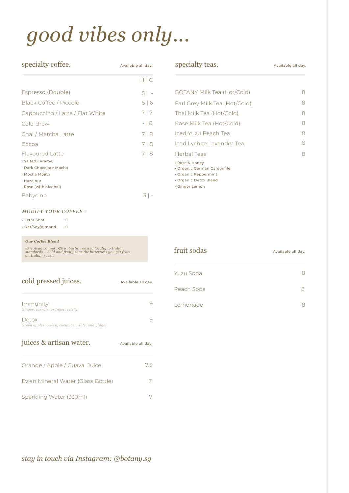# *good vibes only...*

| specialty coffee.                                                                                                             | Available all day. |
|-------------------------------------------------------------------------------------------------------------------------------|--------------------|
|                                                                                                                               | H C                |
| Espresso (Double)                                                                                                             | $5$   -            |
| Black Coffee / Piccolo                                                                                                        | 5 6                |
| Cappuccino / Latte / Flat White                                                                                               | 7 7                |
| Cold Brew                                                                                                                     | -18                |
| Chai / Matcha Latte                                                                                                           | 718                |
| Cocoa                                                                                                                         | 718                |
| <b>Flavoured Latte</b><br>· Salted Caramel<br>· Dark Chocolate Mocha<br>• Mocha Mojito<br>· Hazelnut<br>· Rose (with alcohol) | 718                |
| <b>Babycino</b>                                                                                                               | .3 I               |

| specialty teas.                                                                                                | Available all day. |  |
|----------------------------------------------------------------------------------------------------------------|--------------------|--|
|                                                                                                                |                    |  |
| BOTANY Milk Tea (Hot/Cold)                                                                                     | 8                  |  |
| Earl Grey Milk Tea (Hot/Cold)                                                                                  | 8                  |  |
| Thai Milk Tea (Hot/Cold)                                                                                       | 8                  |  |
| Rose Milk Tea (Hot/Cold)                                                                                       | 8                  |  |
| Iced Yuzu Peach Tea                                                                                            | 8                  |  |
| Iced Lychee Lavender Tea                                                                                       | 8                  |  |
| Herbal Teas                                                                                                    | 8                  |  |
| · Rose & Honey<br>· Organic German Camomile<br>• Organic Peppermint<br>• Organic Detox Blend<br>· Ginger Lemon |                    |  |

### *MODIFY YOUR COFFEE :*

| . Extra Shot     | $+1$ |
|------------------|------|
| · Oat/Soy/Almond | $+1$ |

#### *Our Coffee Blend*

*85% Arabica and 15% Robusta, roasted locally to Italian standards – bold and fruity sans the bitterness you get from an Italian roast.*

| cold pressed juices.                                      | Available all day. |
|-----------------------------------------------------------|--------------------|
| Immunity<br>Ginger, carrots, oranges, celery.             |                    |
| Detox<br>Green apples, celery, cucumber, kale, and ginger |                    |
| juices & artisan water.                                   | Available all day. |

| Orange / Apple / Guava Juice       | 75 |
|------------------------------------|----|
| Evian Mineral Water (Glass Bottle) |    |
| Sparkling Water (330ml)            |    |

| fruit sodas | Available all day. |
|-------------|--------------------|
| - Yuzu Soda |                    |
| Peach Soda  |                    |
| Lemonade    |                    |

### *stay in touch via Instagram: @botany.sg*